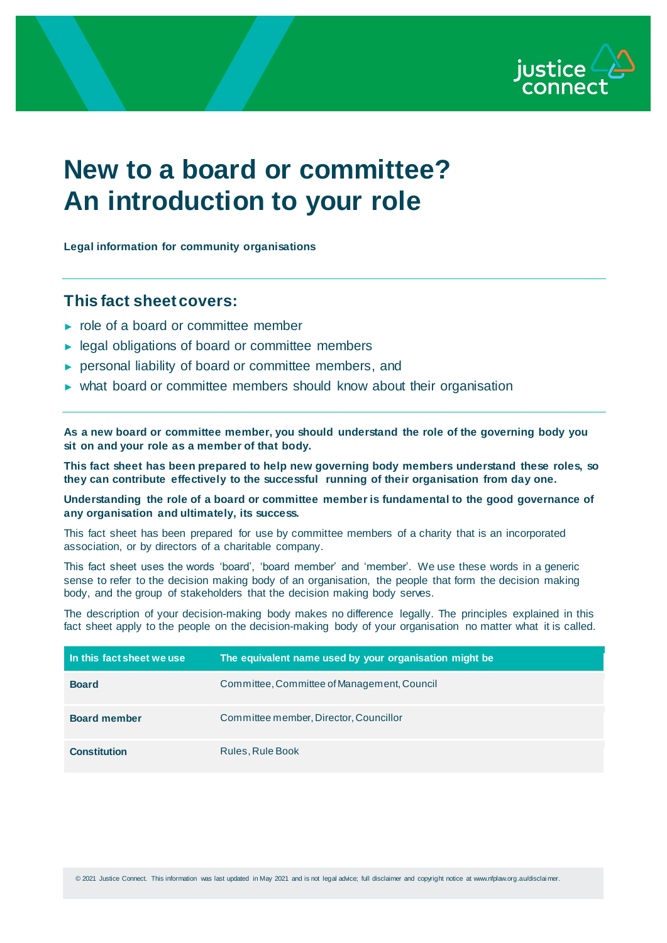

# **New to a board or committee? An introduction to your role**

**Legal information for community organisations**

## **This fact sheet covers:**

- ► role of a board or committee member
- ► legal obligations of board or committee members
- ► personal liability of board or committee members, and
- ► what board or committee members should know about their organisation

**As a new board or committee member, you should understand the role of the governing body you sit on and your role as a member of that body.**

**This fact sheet has been prepared to help new governing body members understand these roles, so they can contribute effectively to the successful running of their organisation from day one.**

**Understanding the role of a board or committee member is fundamental to the good governance of any organisation and ultimately, its success.**

This fact sheet has been prepared for use by committee members of a charity that is an incorporated association, or by directors of a charitable company.

This fact sheet uses the words 'board', 'board member' and 'member'. We use these words in a generic sense to refer to the decision making body of an organisation, the people that form the decision making body, and the group of stakeholders that the decision making body serves.

The description of your decision-making body makes no difference legally. The principles explained in this fact sheet apply to the people on the decision-making body of your organisation no matter what it is called.

| In this fact sheet we use | The equivalent name used by your organisation might be |
|---------------------------|--------------------------------------------------------|
| <b>Board</b>              | Committee, Committee of Management, Council            |
| <b>Board member</b>       | Committee member, Director, Councillor                 |
| <b>Constitution</b>       | Rules, Rule Book                                       |

© 2021 Justice Connect. This information was last updated in May 2021 and is not legal advice; full disclaimer and copyright notice at www.nfplaw.org.au/disclai mer.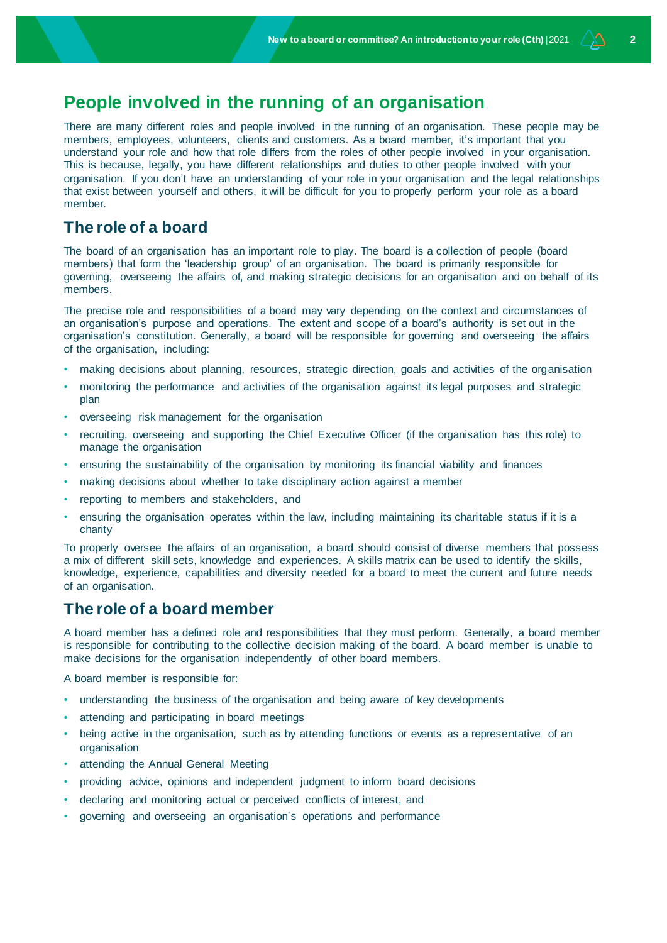# **People involved in the running of an organisation**

There are many different roles and people involved in the running of an organisation. These people may be members, employees, volunteers, clients and customers. As a board member, it's important that you understand your role and how that role differs from the roles of other people involved in your organisation. This is because, legally, you have different relationships and duties to other people involved with your organisation. If you don't have an understanding of your role in your organisation and the legal relationships that exist between yourself and others, it will be difficult for you to properly perform your role as a board member.

### **The role of a board**

The board of an organisation has an important role to play. The board is a collection of people (board members) that form the 'leadership group' of an organisation. The board is primarily responsible for governing, overseeing the affairs of, and making strategic decisions for an organisation and on behalf of its members.

The precise role and responsibilities of a board may vary depending on the context and circumstances of an organisation's purpose and operations. The extent and scope of a board's authority is set out in the organisation's constitution. Generally, a board will be responsible for governing and overseeing the affairs of the organisation, including:

- making decisions about planning, resources, strategic direction, goals and activities of the organisation
- monitoring the performance and activities of the organisation against its legal purposes and strategic plan
- overseeing risk management for the organisation
- recruiting, overseeing and supporting the Chief Executive Officer (if the organisation has this role) to manage the organisation
- ensuring the sustainability of the organisation by monitoring its financial viability and finances
- making decisions about whether to take disciplinary action against a member
- reporting to members and stakeholders, and
- ensuring the organisation operates within the law, including maintaining its charitable status if it is a charity

To properly oversee the affairs of an organisation, a board should consist of diverse members that possess a mix of different skill sets, knowledge and experiences. A skills matrix can be used to identify the skills, knowledge, experience, capabilities and diversity needed for a board to meet the current and future needs of an organisation.

# **The role of a board member**

A board member has a defined role and responsibilities that they must perform. Generally, a board member is responsible for contributing to the collective decision making of the board. A board member is unable to make decisions for the organisation independently of other board members.

A board member is responsible for:

- understanding the business of the organisation and being aware of key developments
- attending and participating in board meetings
- being active in the organisation, such as by attending functions or events as a representative of an organisation
- attending the Annual General Meeting
- providing advice, opinions and independent judgment to inform board decisions
- declaring and monitoring actual or perceived conflicts of interest, and
- governing and overseeing an organisation's operations and performance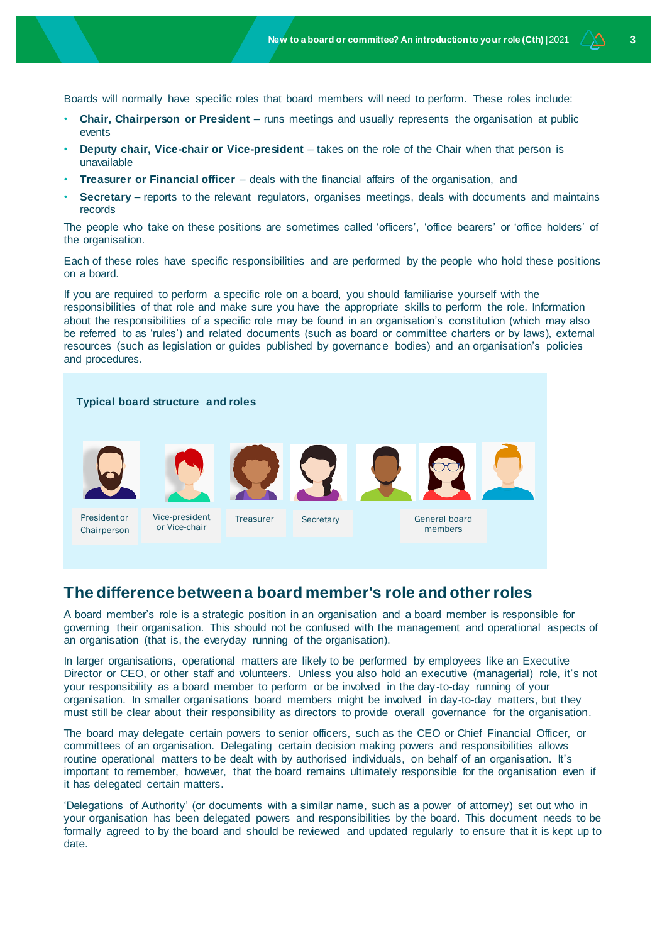Boards will normally have specific roles that board members will need to perform. These roles include:

- **Chair, Chairperson or President** runs meetings and usually represents the organisation at public events
- **Deputy chair, Vice-chair or Vice-president** takes on the role of the Chair when that person is unavailable
- **Treasurer or Financial officer** deals with the financial affairs of the organisation, and
- **Secretary** reports to the relevant regulators, organises meetings, deals with documents and maintains records

The people who take on these positions are sometimes called 'officers', 'office bearers' or 'office holders' of the organisation.

Each of these roles have specific responsibilities and are performed by the people who hold these positions on a board.

If you are required to perform a specific role on a board, you should familiarise yourself with the responsibilities of that role and make sure you have the appropriate skills to perform the role. Information about the responsibilities of a specific role may be found in an organisation's constitution (which may also be referred to as 'rules') and related documents (such as board or committee charters or by laws), external resources (such as legislation or guides published by governance bodies) and an organisation's policies and procedures.

#### **Typical board structure and roles**



President or Chairperson



Vice-president or Vice-chair







# **The difference between a board member's role and other roles**

A board member's role is a strategic position in an organisation and a board member is responsible for governing their organisation. This should not be confused with the management and operational aspects of an organisation (that is, the everyday running of the organisation).

In larger organisations, operational matters are likely to be performed by employees like an Executive Director or CEO, or other staff and volunteers. Unless you also hold an executive (managerial) role, it's not your responsibility as a board member to perform or be involved in the day-to-day running of your organisation. In smaller organisations board members might be involved in day-to-day matters, but they must still be clear about their responsibility as directors to provide overall governance for the organisation.

The board may delegate certain powers to senior officers, such as the CEO or Chief Financial Officer, or committees of an organisation. Delegating certain decision making powers and responsibilities allows routine operational matters to be dealt with by authorised individuals, on behalf of an organisation. It's important to remember, however, that the board remains ultimately responsible for the organisation even if it has delegated certain matters.

'Delegations of Authority' (or documents with a similar name, such as a power of attorney) set out who in your organisation has been delegated powers and responsibilities by the board. This document needs to be formally agreed to by the board and should be reviewed and updated regularly to ensure that it is kept up to date.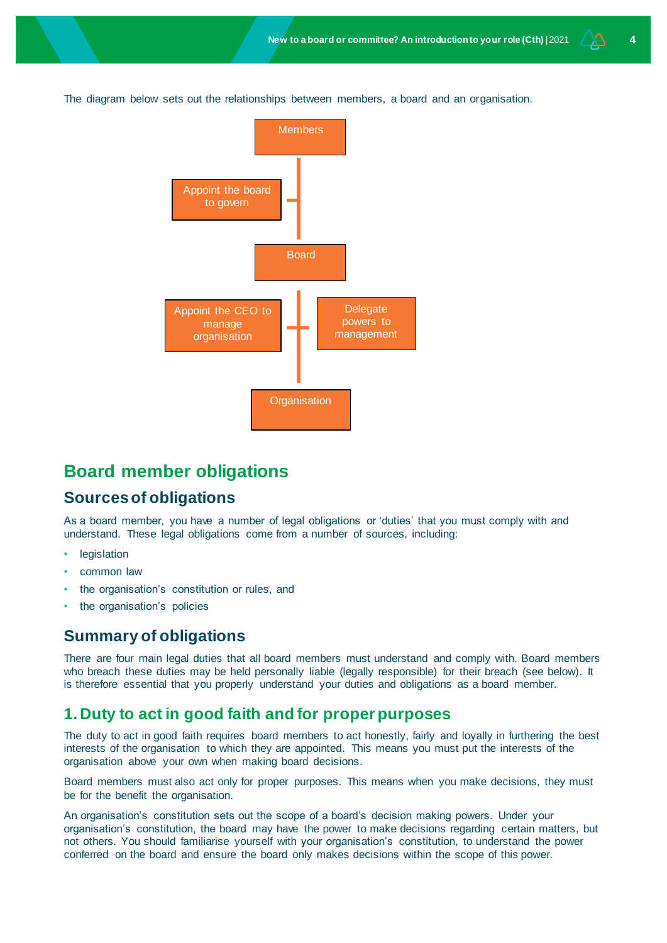The diagram below sets out the relationships between members, a board and an organisation.



# **Board member obligations**

### **Sources of obligations**

As a board member, you have a number of legal obligations or 'duties' that you must comply with and understand. These legal obligations come from a number of sources, including:

- legislation
- common law
- the organisation's constitution or rules, and
- the organisation's policies

# **Summary of obligations**

There are four main legal duties that all board members must understand and comply with. Board members who breach these duties may be held personally liable (legally responsible) for their breach (see below). It is therefore essential that you properly understand your duties and obligations as a board member.

### **1.Duty to act in good faith and for proper purposes**

The duty to act in good faith requires board members to act honestly, fairly and loyally in furthering the best interests of the organisation to which they are appointed. This means you must put the interests of the organisation above your own when making board decisions.

Board members must also act only for proper purposes. This means when you make decisions, they must be for the benefit the organisation.

An organisation's constitution sets out the scope of a board's decision making powers. Under your organisation's constitution, the board may have the power to make decisions regarding certain matters, but not others. You should familiarise yourself with your organisation's constitution, to understand the power conferred on the board and ensure the board only makes decisions within the scope of this power.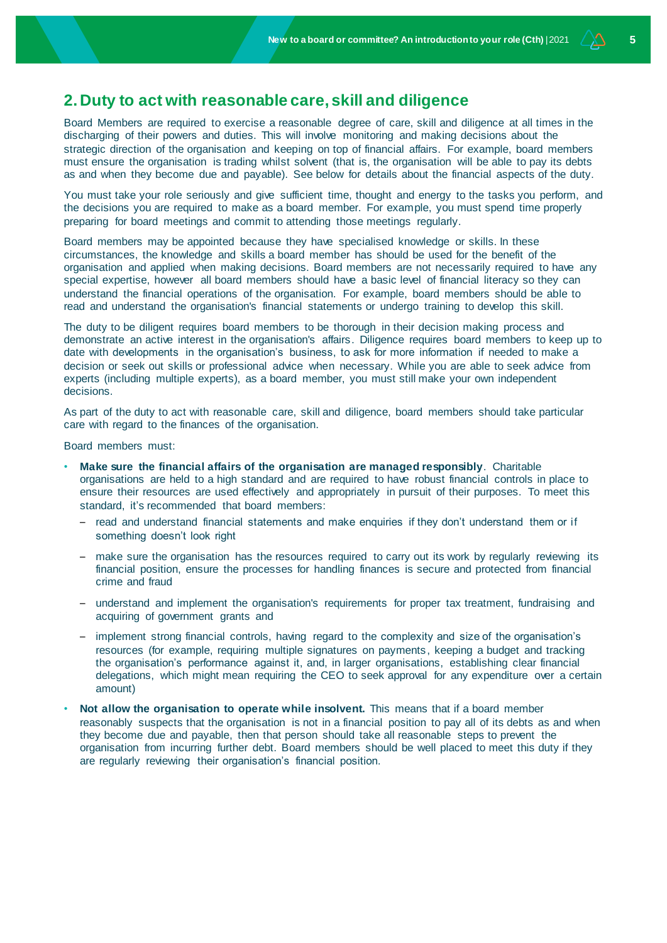# **2.Duty to act with reasonable care, skill and diligence**

Board Members are required to exercise a reasonable degree of care, skill and diligence at all times in the discharging of their powers and duties. This will involve monitoring and making decisions about the strategic direction of the organisation and keeping on top of financial affairs. For example, board members must ensure the organisation is trading whilst solvent (that is, the organisation will be able to pay its debts as and when they become due and payable). See below for details about the financial aspects of the duty.

You must take your role seriously and give sufficient time, thought and energy to the tasks you perform, and the decisions you are required to make as a board member. For example, you must spend time properly preparing for board meetings and commit to attending those meetings regularly.

Board members may be appointed because they have specialised knowledge or skills. In these circumstances, the knowledge and skills a board member has should be used for the benefit of the organisation and applied when making decisions. Board members are not necessarily required to have any special expertise, however all board members should have a basic level of financial literacy so they can understand the financial operations of the organisation. For example, board members should be able to read and understand the organisation's financial statements or undergo training to develop this skill.

The duty to be diligent requires board members to be thorough in their decision making process and demonstrate an active interest in the organisation's affairs. Diligence requires board members to keep up to date with developments in the organisation's business, to ask for more information if needed to make a decision or seek out skills or professional advice when necessary. While you are able to seek advice from experts (including multiple experts), as a board member, you must still make your own independent decisions.

As part of the duty to act with reasonable care, skill and diligence, board members should take particular care with regard to the finances of the organisation.

Board members must:

- **Make sure the financial affairs of the organisation are managed responsibly**. Charitable organisations are held to a high standard and are required to have robust financial controls in place to ensure their resources are used effectively and appropriately in pursuit of their purposes. To meet this standard, it's recommended that board members:
	- read and understand financial statements and make enquiries if they don't understand them or if something doesn't look right
	- make sure the organisation has the resources required to carry out its work by regularly reviewing its financial position, ensure the processes for handling finances is secure and protected from financial crime and fraud
	- understand and implement the organisation's requirements for proper tax treatment, fundraising and acquiring of government grants and
	- implement strong financial controls, having regard to the complexity and size of the organisation's resources (for example, requiring multiple signatures on payments, keeping a budget and tracking the organisation's performance against it, and, in larger organisations, establishing clear financial delegations, which might mean requiring the CEO to seek approval for any expenditure over a certain amount)
- **Not allow the organisation to operate while insolvent.** This means that if a board member reasonably suspects that the organisation is not in a financial position to pay all of its debts as and when they become due and payable, then that person should take all reasonable steps to prevent the organisation from incurring further debt. Board members should be well placed to meet this duty if they are regularly reviewing their organisation's financial position.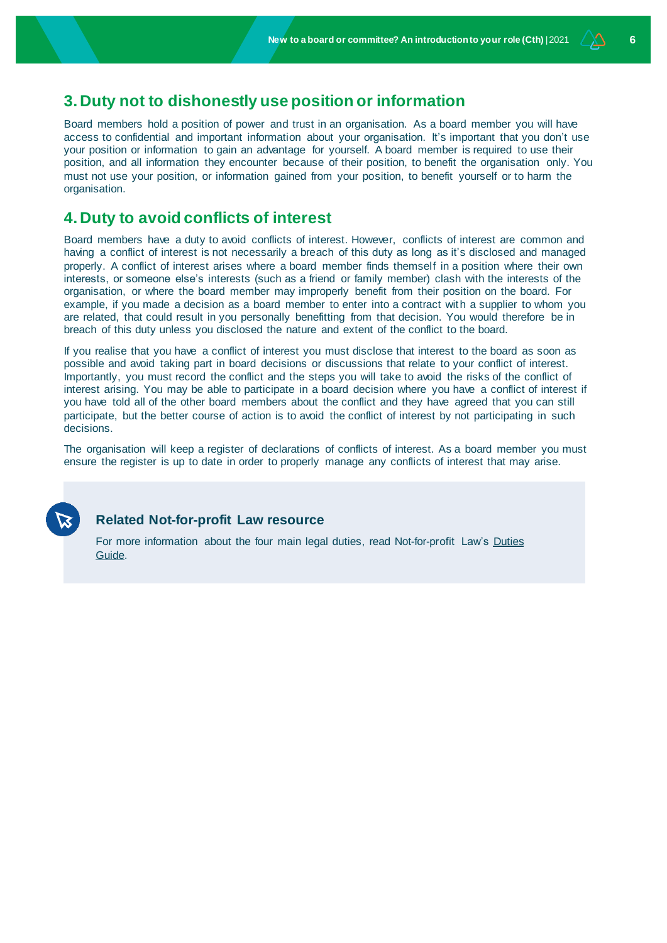## **3.Duty not to dishonestly use position or information**

Board members hold a position of power and trust in an organisation. As a board member you will have access to confidential and important information about your organisation. It's important that you don't use your position or information to gain an advantage for yourself. A board member is required to use their position, and all information they encounter because of their position, to benefit the organisation only. You must not use your position, or information gained from your position, to benefit yourself or to harm the organisation.

### **4.Duty to avoid conflicts of interest**

Board members have a duty to avoid conflicts of interest. However, conflicts of interest are common and having a conflict of interest is not necessarily a breach of this duty as long as it's disclosed and managed properly. A conflict of interest arises where a board member finds themself in a position where their own interests, or someone else's interests (such as a friend or family member) clash with the interests of the organisation, or where the board member may improperly benefit from their position on the board. For example, if you made a decision as a board member to enter into a contract with a supplier to whom you are related, that could result in you personally benefitting from that decision. You would therefore be in breach of this duty unless you disclosed the nature and extent of the conflict to the board.

If you realise that you have a conflict of interest you must disclose that interest to the board as soon as possible and avoid taking part in board decisions or discussions that relate to your conflict of interest. Importantly, you must record the conflict and the steps you will take to avoid the risks of the conflict of interest arising. You may be able to participate in a board decision where you have a conflict of interest if you have told all of the other board members about the conflict and they have agreed that you can still participate, but the better course of action is to avoid the conflict of interest by not participating in such decisions.

The organisation will keep a register of declarations of conflicts of interest. As a board member you must ensure the register is up to date in order to properly manage any conflicts of interest that may arise.



#### **Related Not-for-profit Law resource**

For more information about the four main legal duties, read Not-for-profit Law's Duties [Guide.](http://www.nfplaw.org.au/governance)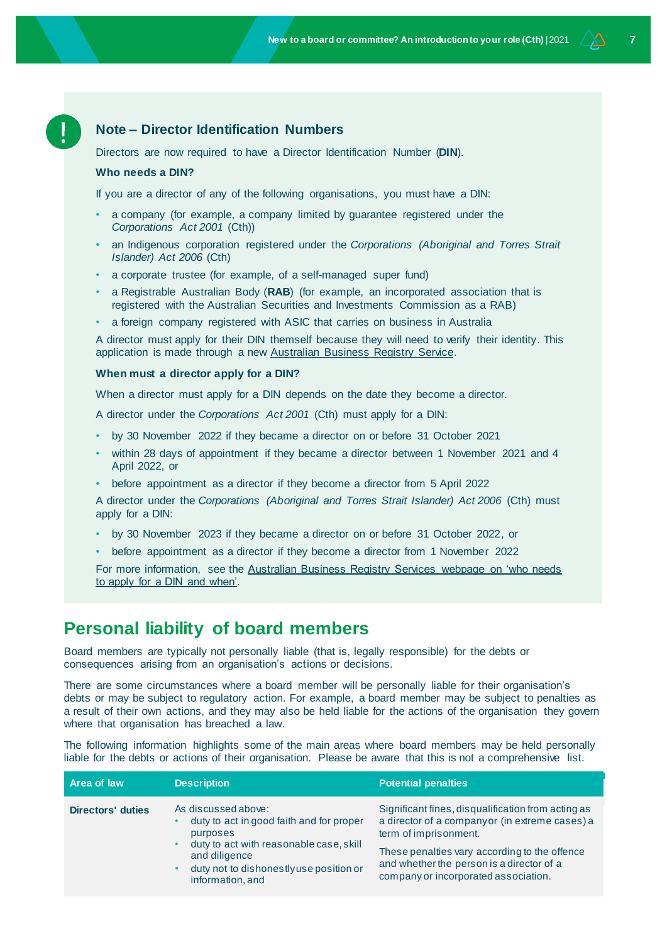#### **Note – Director Identification Numbers**

Directors are now required to have a Director Identification Number (**DIN**).

#### **Who needs a DIN?**

If you are a director of any of the following organisations, you must have a DIN:

- a company (for example, a company limited by guarantee registered under the *Corporations Act 2001* (Cth))
- an Indigenous corporation registered under the *Corporations (Aboriginal and Torres Strait Islander) Act 2006* (Cth)
- a corporate trustee (for example, of a self-managed super fund)
- a Registrable Australian Body (**RAB**) (for example, an incorporated association that is registered with the Australian Securities and Investments Commission as a RAB)
- a foreign company registered with ASIC that carries on business in Australia

A director must apply for their DIN themself because they will need to verify their identity. This application is made through a new [Australian Business Registry Service.](https://www.abrs.gov.au/director-identification-number/apply-director-identification-number)

#### **When must a director apply for a DIN?**

When a director must apply for a DIN depends on the date they become a director.

A director under the *Corporations Act 2001* (Cth) must apply for a DIN:

- by 30 November 2022 if they became a director on or before 31 October 2021
- within 28 days of appointment if they became a director between 1 November 2021 and 4 April 2022, or
- before appointment as a director if they become a director from 5 April 2022

A director under the *Corporations (Aboriginal and Torres Strait Islander) Act 2006* (Cth) must apply for a DIN:

- by 30 November 2023 if they became a director on or before 31 October 2022, or
- before appointment as a director if they become a director from 1 November 2022

For more information, see the Australian Business Registry Services webpage on 'who needs [to apply for a DIN and when'.](https://www.abrs.gov.au/director-identification-number/who-needs-apply-and-when)

### **Personal liability of board members**

Board members are typically not personally liable (that is, legally responsible) for the debts or consequences arising from an organisation's actions or decisions.

There are some circumstances where a board member will be personally liable for their organisation's debts or may be subject to regulatory action. For example, a board member may be subject to penalties as a result of their own actions, and they may also be held liable for the actions of the organisation they govern where that organisation has breached a law.

The following information highlights some of the main areas where board members may be held personally liable for the debts or actions of their organisation. Please be aware that this is not a comprehensive list.

| Area of law              | <b>Description</b>                                                                                                                                                                                                  | <b>Potential penalties</b>                                                                                                                                                                                                                                          |
|--------------------------|---------------------------------------------------------------------------------------------------------------------------------------------------------------------------------------------------------------------|---------------------------------------------------------------------------------------------------------------------------------------------------------------------------------------------------------------------------------------------------------------------|
| <b>Directors' duties</b> | As discussed above:<br>duty to act in good faith and for proper<br>purposes<br>duty to act with reasonable case, skill<br>and diligence<br>duty not to dishonestly use position or<br>$\bullet$<br>information, and | Significant fines, disqualification from acting as<br>a director of a companyor (in extreme cases) a<br>term of imprisonment.<br>These penalties vary according to the offence<br>and whether the person is a director of a<br>company or incorporated association. |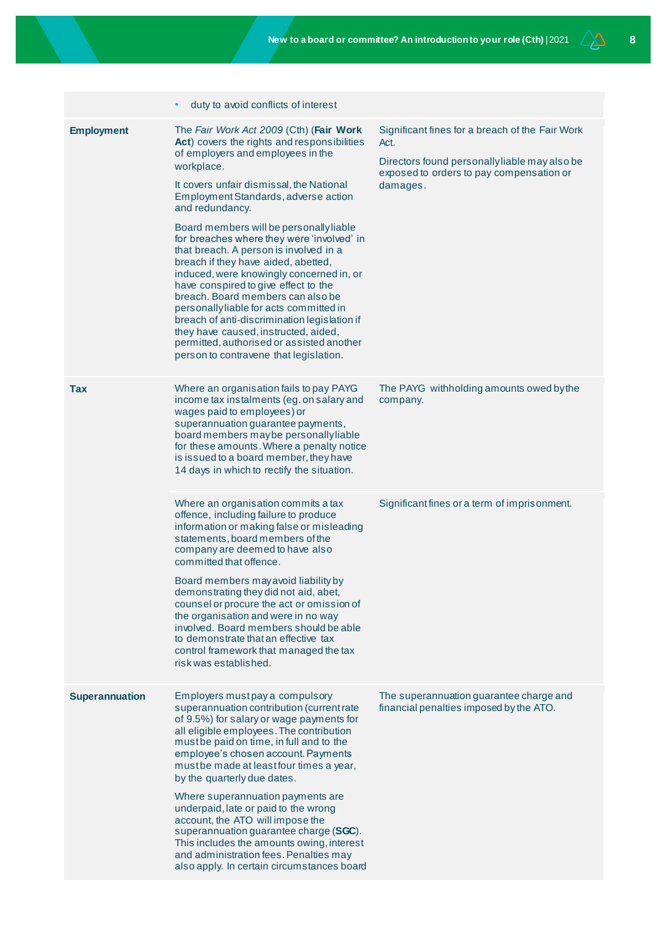|                       | duty to avoid conflicts of interest                                                                                                                                                                                                                                                                                                                                                                                                                                                                                                                                                                                                                                                                                                                                          |                                                                                                                                                                  |
|-----------------------|------------------------------------------------------------------------------------------------------------------------------------------------------------------------------------------------------------------------------------------------------------------------------------------------------------------------------------------------------------------------------------------------------------------------------------------------------------------------------------------------------------------------------------------------------------------------------------------------------------------------------------------------------------------------------------------------------------------------------------------------------------------------------|------------------------------------------------------------------------------------------------------------------------------------------------------------------|
| <b>Employment</b>     | The Fair Work Act 2009 (Cth) (Fair Work<br>Act) covers the rights and responsibilities<br>of employers and employees in the<br>workplace.<br>It covers unfair dismissal, the National<br>Employment Standards, adverse action<br>and redundancy.<br>Board members will be personally liable<br>for breaches where they were 'involved' in<br>that breach. A person is involved in a<br>breach if they have aided, abetted,<br>induced, were knowingly concerned in, or<br>have conspired to give effect to the<br>breach. Board members can also be<br>personallyliable for acts committed in<br>breach of anti-discrimination legislation if<br>they have caused, instructed, aided,<br>permitted, authorised or assisted another<br>person to contravene that legislation. | Significant fines for a breach of the Fair Work<br>Act.<br>Directors found personally liable may also be<br>exposed to orders to pay compensation or<br>damages. |
| Tax                   | Where an organisation fails to pay PAYG<br>income tax instalments (eg. on salary and<br>wages paid to employees) or<br>superannuation guarantee payments,<br>board members maybe personallyliable<br>for these amounts. Where a penalty notice<br>is issued to a board member, they have<br>14 days in which to rectify the situation.                                                                                                                                                                                                                                                                                                                                                                                                                                       | The PAYG withholding amounts owed by the<br>company.                                                                                                             |
|                       | Where an organisation commits a tax<br>offence, including failure to produce<br>information or making false or misleading<br>statements, board members of the<br>company are deemed to have also<br>committed that offence.<br>Board members may avoid liability by<br>demonstrating they did not aid, abet,<br>counsel or procure the act or omission of<br>the organisation and were in no way<br>involved. Board members should be able<br>to demonstrate that an effective tax<br>control framework that managed the tax<br>risk was established.                                                                                                                                                                                                                        | Significant fines or a term of imprisonment.                                                                                                                     |
| <b>Superannuation</b> | Employers mustpay a compulsory<br>superannuation contribution (current rate<br>of 9.5%) for salary or wage payments for<br>all eligible employees. The contribution<br>must be paid on time, in full and to the<br>employee's chosen account. Payments<br>mustbe made at least four times a year,<br>by the quarterly due dates.<br>Where superannuation payments are<br>underpaid, late or paid to the wrong<br>account, the ATO will impose the<br>superannuation guarantee charge (SGC).<br>This includes the amounts owing, interest<br>and administration fees. Penalties may<br>also apply. In certain circumstances board                                                                                                                                             | The superannuation guarantee charge and<br>financial penalties imposed by the ATO.                                                                               |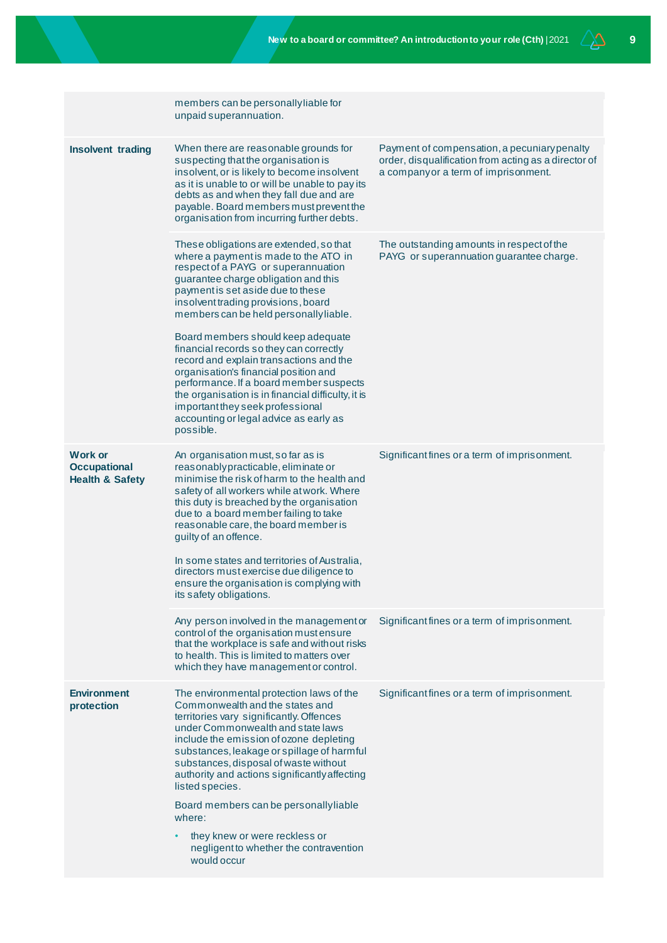|                                                                     | members can be personally liable for<br>unpaid superannuation.                                                                                                                                                                                                                                                                                                                                                                                                                                                                                                                                                                                         |                                                                                                                                             |
|---------------------------------------------------------------------|--------------------------------------------------------------------------------------------------------------------------------------------------------------------------------------------------------------------------------------------------------------------------------------------------------------------------------------------------------------------------------------------------------------------------------------------------------------------------------------------------------------------------------------------------------------------------------------------------------------------------------------------------------|---------------------------------------------------------------------------------------------------------------------------------------------|
| <b>Insolvent trading</b>                                            | When there are reasonable grounds for<br>suspecting that the organisation is<br>insolvent, or is likely to become insolvent<br>as it is unable to or will be unable to pay its<br>debts as and when they fall due and are<br>payable. Board members must prevent the<br>organisation from incurring further debts.                                                                                                                                                                                                                                                                                                                                     | Payment of compensation, a pecuniary penalty<br>order, disqualification from acting as a director of<br>a companyor a term of imprisonment. |
|                                                                     | These obligations are extended, so that<br>where a payment is made to the ATO in<br>respect of a PAYG or superannuation<br>guarantee charge obligation and this<br>payment is set aside due to these<br>insolvent trading provisions, board<br>members can be held personally liable.<br>Board members should keep adequate<br>financial records so they can correctly<br>record and explain transactions and the<br>organisation's financial position and<br>performance. If a board member suspects<br>the organisation is in financial difficulty, it is<br>important they seek professional<br>accounting or legal advice as early as<br>possible. | The outstanding amounts in respect of the<br>PAYG or superannuation guarantee charge.                                                       |
| <b>Work or</b><br><b>Occupational</b><br><b>Health &amp; Safety</b> | An organisation must, so far as is<br>reasonablypracticable, eliminate or<br>minimise the risk of harm to the health and<br>safety of all workers while at work. Where<br>this duty is breached by the organisation<br>due to a board member failing to take<br>reasonable care, the board member is<br>guilty of an offence.<br>In some states and territories of Australia,<br>directors must exercise due diligence to<br>ensure the organisation is complying with<br>its safety obligations.                                                                                                                                                      | Significant fines or a term of imprisonment.                                                                                                |
|                                                                     | Any person involved in the management or<br>control of the organisation must ensure<br>that the workplace is safe and without risks<br>to health. This is limited to matters over<br>which they have management or control.                                                                                                                                                                                                                                                                                                                                                                                                                            | Significant fines or a term of imprisonment.                                                                                                |
| <b>Environment</b><br>protection                                    | The environmental protection laws of the<br>Commonwealth and the states and<br>territories vary significantly. Offences<br>under Commonwealth and state laws<br>include the emission of ozone depleting<br>substances, leakage or spillage of harmful<br>substances, disposal of waste without<br>authority and actions significantly affecting<br>listed species.<br>Board members can be personally liable<br>where:<br>they knew or were reckless or<br>negligent to whether the contravention<br>would occur                                                                                                                                       | Significant fines or a term of imprisonment.                                                                                                |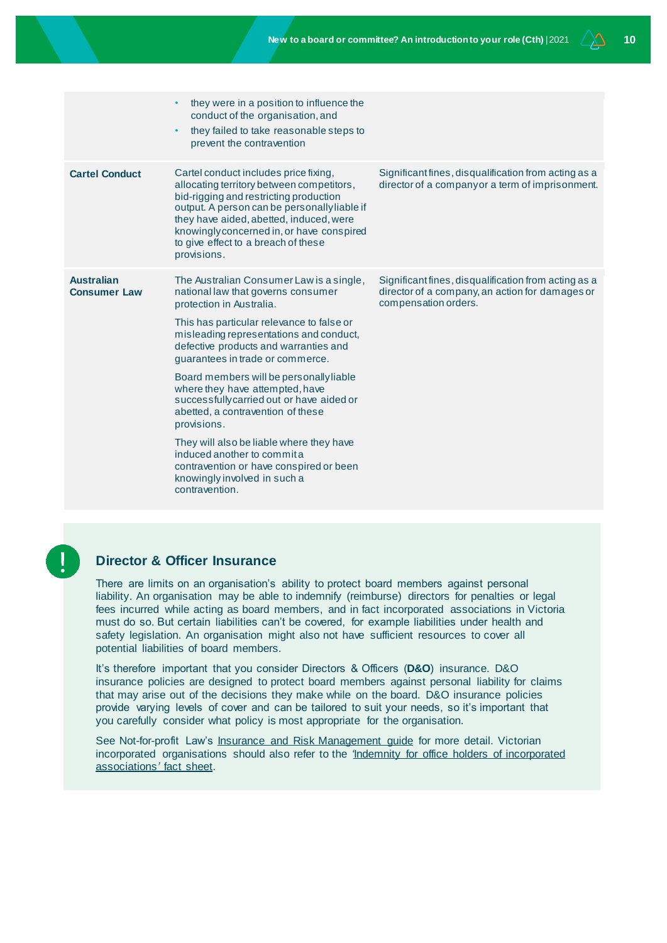|                                          | they were in a position to influence the<br>conduct of the organisation, and<br>they failed to take reasonable steps to<br>$\bullet$<br>prevent the contravention                                                                                                                                                                                                                                                                                                                                                                                                                                                                      |                                                                                                                                 |
|------------------------------------------|----------------------------------------------------------------------------------------------------------------------------------------------------------------------------------------------------------------------------------------------------------------------------------------------------------------------------------------------------------------------------------------------------------------------------------------------------------------------------------------------------------------------------------------------------------------------------------------------------------------------------------------|---------------------------------------------------------------------------------------------------------------------------------|
| <b>Cartel Conduct</b>                    | Cartel conduct includes price fixing,<br>allocating territory between competitors,<br>bid-rigging and restricting production<br>output. A person can be personally liable if<br>they have aided, abetted, induced, were<br>knowingly concerned in, or have conspired<br>to give effect to a breach of these<br>provisions.                                                                                                                                                                                                                                                                                                             | Significant fines, disqualification from acting as a<br>director of a companyor a term of imprisonment.                         |
| <b>Australian</b><br><b>Consumer Law</b> | The Australian Consumer Law is a single,<br>national law that governs consumer<br>protection in Australia.<br>This has particular relevance to false or<br>misleading representations and conduct,<br>defective products and warranties and<br>guarantees in trade or commerce.<br>Board members will be personally liable<br>where they have attempted, have<br>successfully carried out or have aided or<br>abetted, a contravention of these<br>provisions.<br>They will also be liable where they have<br>induced another to commit a<br>contravention or have conspired or been<br>knowingly involved in such a<br>contravention. | Significant fines, disqualification from acting as a<br>director of a company, an action for damages or<br>compensation orders. |

### **Director & Officer Insurance**

There are limits on an organisation's ability to protect board members against personal liability. An organisation may be able to indemnify (reimburse) directors for penalties or legal fees incurred while acting as board members, and in fact incorporated associations in Victoria must do so. But certain liabilities can't be covered, for example liabilities under health and safety legislation. An organisation might also not have sufficient resources to cover all potential liabilities of board members.

It's therefore important that you consider Directors & Officers (**D&O**) insurance. D&O insurance policies are designed to protect board members against personal liability for claims that may arise out of the decisions they make while on the board. D&O insurance policies provide varying levels of cover and can be tailored to suit your needs, so it's important that you carefully consider what policy is most appropriate for the organisation.

See Not-for-profit Law's [Insurance and Risk Management guide](https://www.nfplaw.org.au/insurance) for more detail. Victorian incorporated organisations should also refer to the *'*[Indemnity for office holders of incorporated](https://www.nfplaw.org.au/insurance)  [associations](https://www.nfplaw.org.au/insurance)*'* fact sheet.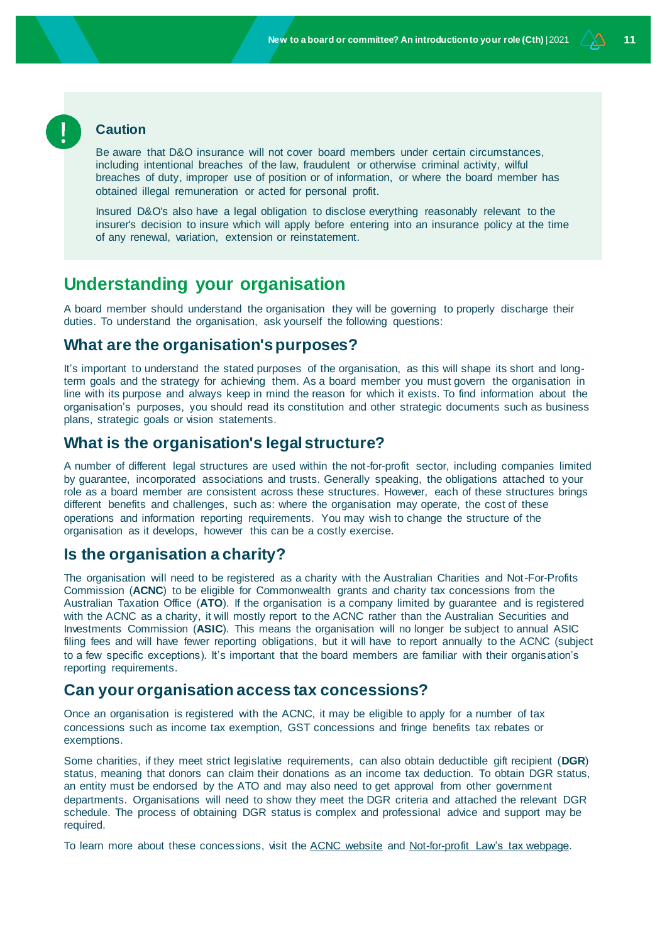#### **Caution**

Be aware that D&O insurance will not cover board members under certain circumstances, including intentional breaches of the law, fraudulent or otherwise criminal activity, wilful breaches of duty, improper use of position or of information, or where the board member has obtained illegal remuneration or acted for personal profit.

Insured D&O's also have a legal obligation to disclose everything reasonably relevant to the insurer's decision to insure which will apply before entering into an insurance policy at the time of any renewal, variation, extension or reinstatement.

# **Understanding your organisation**

A board member should understand the organisation they will be governing to properly discharge their duties. To understand the organisation, ask yourself the following questions:

#### **What are the organisation's purposes?**

It's important to understand the stated purposes of the organisation, as this will shape its short and longterm goals and the strategy for achieving them. As a board member you must govern the organisation in line with its purpose and always keep in mind the reason for which it exists. To find information about the organisation's purposes, you should read its constitution and other strategic documents such as business plans, strategic goals or vision statements.

#### **What is the organisation's legal structure?**

A number of different legal structures are used within the not-for-profit sector, including companies limited by guarantee, incorporated associations and trusts. Generally speaking, the obligations attached to your role as a board member are consistent across these structures. However, each of these structures brings different benefits and challenges, such as: where the organisation may operate, the cost of these operations and information reporting requirements. You may wish to change the structure of the organisation as it develops, however this can be a costly exercise.

### **Is the organisation a charity?**

The organisation will need to be registered as a charity with the Australian Charities and Not-For-Profits Commission (**ACNC**) to be eligible for Commonwealth grants and charity tax concessions from the Australian Taxation Office (**ATO**). If the organisation is a company limited by guarantee and is registered with the ACNC as a charity, it will mostly report to the ACNC rather than the Australian Securities and Investments Commission (**ASIC**). This means the organisation will no longer be subject to annual ASIC filing fees and will have fewer reporting obligations, but it will have to report annually to the ACNC (subject to a few specific exceptions). It's important that the board members are familiar with their organisation's reporting requirements.

## **Can your organisation access tax concessions?**

Once an organisation is registered with the ACNC, it may be eligible to apply for a number of tax concessions such as income tax exemption, GST concessions and fringe benefits tax rebates or exemptions.

Some charities, if they meet strict legislative requirements, can also obtain deductible gift recipient (**DGR**) status, meaning that donors can claim their donations as an income tax deduction. To obtain DGR status, an entity must be endorsed by the ATO and may also need to get approval from other government departments. Organisations will need to show they meet the DGR criteria and attached the relevant DGR schedule. The process of obtaining DGR status is complex and professional advice and support may be required.

To learn more about these concessions, visit th[e ACNC website](https://www.acnc.gov.au/tools/factsheets/charity-tax-concessions) an[d Not-for-profit Law's tax webpage.](http://www.nfplaw.org.au/tax)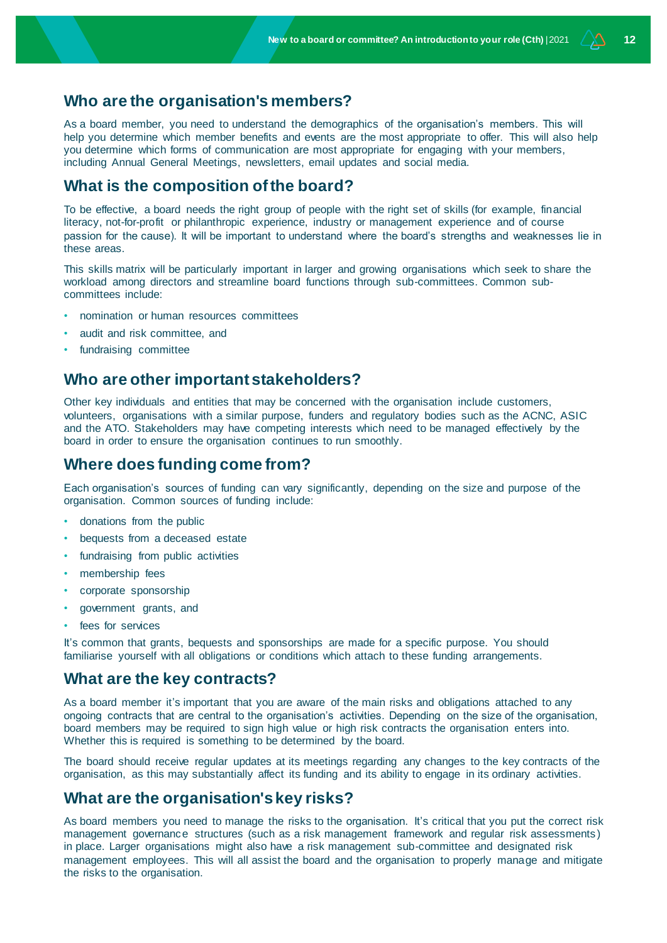#### **Who are the organisation's members?**

As a board member, you need to understand the demographics of the organisation's members. This will help you determine which member benefits and events are the most appropriate to offer. This will also help you determine which forms of communication are most appropriate for engaging with your members, including Annual General Meetings, newsletters, email updates and social media.

### **What is the composition of the board?**

To be effective, a board needs the right group of people with the right set of skills (for example, financial literacy, not-for-profit or philanthropic experience, industry or management experience and of course passion for the cause). It will be important to understand where the board's strengths and weaknesses lie in these areas.

This skills matrix will be particularly important in larger and growing organisations which seek to share the workload among directors and streamline board functions through sub-committees. Common subcommittees include:

- nomination or human resources committees
- audit and risk committee, and
- fundraising committee

#### **Who are other important stakeholders?**

Other key individuals and entities that may be concerned with the organisation include customers, volunteers, organisations with a similar purpose, funders and regulatory bodies such as the ACNC, ASIC and the ATO. Stakeholders may have competing interests which need to be managed effectively by the board in order to ensure the organisation continues to run smoothly.

#### **Where does funding come from?**

Each organisation's sources of funding can vary significantly, depending on the size and purpose of the organisation. Common sources of funding include:

- donations from the public
- bequests from a deceased estate
- fundraising from public activities
- membership fees
- corporate sponsorship
- government grants, and
- fees for services

It's common that grants, bequests and sponsorships are made for a specific purpose. You should familiarise yourself with all obligations or conditions which attach to these funding arrangements.

#### **What are the key contracts?**

As a board member it's important that you are aware of the main risks and obligations attached to any ongoing contracts that are central to the organisation's activities. Depending on the size of the organisation, board members may be required to sign high value or high risk contracts the organisation enters into. Whether this is required is something to be determined by the board.

The board should receive regular updates at its meetings regarding any changes to the key contracts of the organisation, as this may substantially affect its funding and its ability to engage in its ordinary activities.

#### **What are the organisation's key risks?**

As board members you need to manage the risks to the organisation. It's critical that you put the correct risk management governance structures (such as a risk management framework and regular risk assessments) in place. Larger organisations might also have a risk management sub-committee and designated risk management employees. This will all assist the board and the organisation to properly manage and mitigate the risks to the organisation.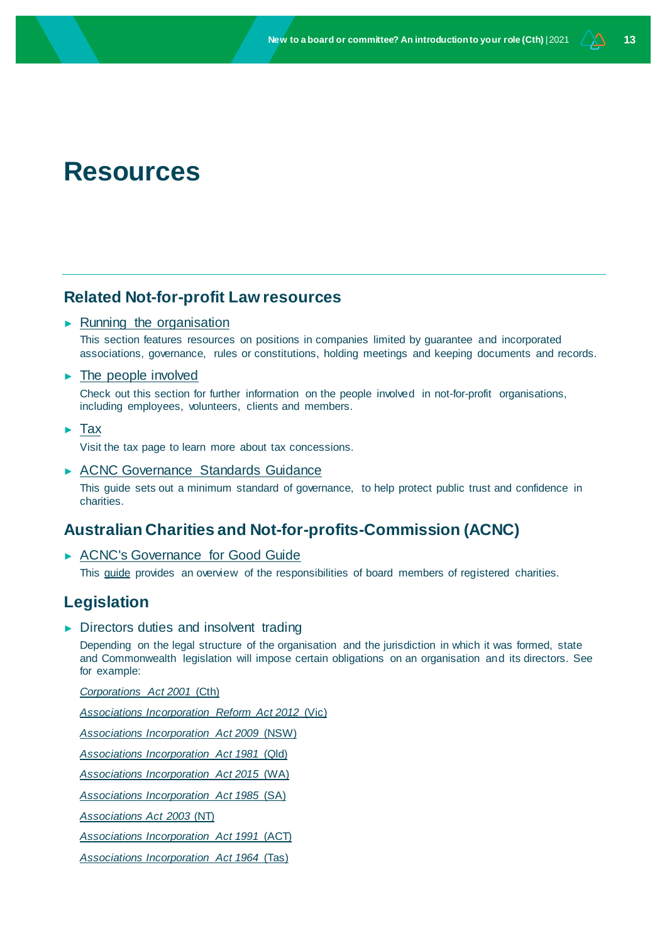# **Resources**

### **Related Not-for-profit Law resources**

#### $\blacktriangleright$  [Running the organisation](http://www.nfplaw.org.au/runningtheorg)

This section features resources on positions in companies limited by guarantee and incorporated associations, governance, rules or constitutions, holding meetings and keeping documents and records.

#### ► [The people involved](http://www.nfplaw.org.au/people)

Check out this section for further information on the people involved in not-for-profit organisations, including employees, volunteers, clients and members.

► [Tax](http://www.nfplaw.org.au/tax)

Visit the tax page to learn more about tax concessions.

► [ACNC Governance Standards Guidance](http://www.nfplaw.org.au/governance)

This guide sets out a minimum standard of governance, to help protect public trust and confidence in charities.

### **Australian Charities and Not-for-profits-Commission (ACNC)**

► [ACNC's Governance for Good Guide](https://www.acnc.gov.au/tools/guides/governance-good-acncs-guide-charity-board-members)

This [guide](https://www.acnc.gov.au/tools/guides/governance-good-acncs-guide-charity-board-members) provides an overview of the responsibilities of board members of registered charities.

### **Legislation**

► Directors duties and insolvent trading

Depending on the legal structure of the organisation and the jurisdiction in which it was formed, state and Commonwealth legislation will impose certain obligations on an organisation and its directors. See for example:

*[Corporations Act 2001](https://www.legislation.gov.au/Details/C2021C00203)* (Cth)

*[Associations Incorporation Reform Act 2012](https://content.legislation.vic.gov.au/sites/default/files/2020-04/12-20aa017%20authorised.pdf/)* (Vic)

*[Associations Incorporation Act 2009](https://www.legislation.nsw.gov.au/view/whole/html/inforce/current/act-2009-007)* (NSW)

*[Associations Incorporation Act 1981](https://www.legislation.qld.gov.au/view/pdf/inforce/current/act-1981-074http:/www.austlii.edu.au/au/legis/qld/consol_act/aia1981307/)* (Qld)

*Associations Incorporation Act 2015* (WA)

*Associations Incorporation Act 1985* (SA)

*Associations Act 2003* (NT)

*Associations Incorporation Act 1991* (ACT)

*[Associations Incorporation Act 1964](https://www.legislation.tas.gov.au/view/html/inforce/current/act-1964-064)* (Tas)